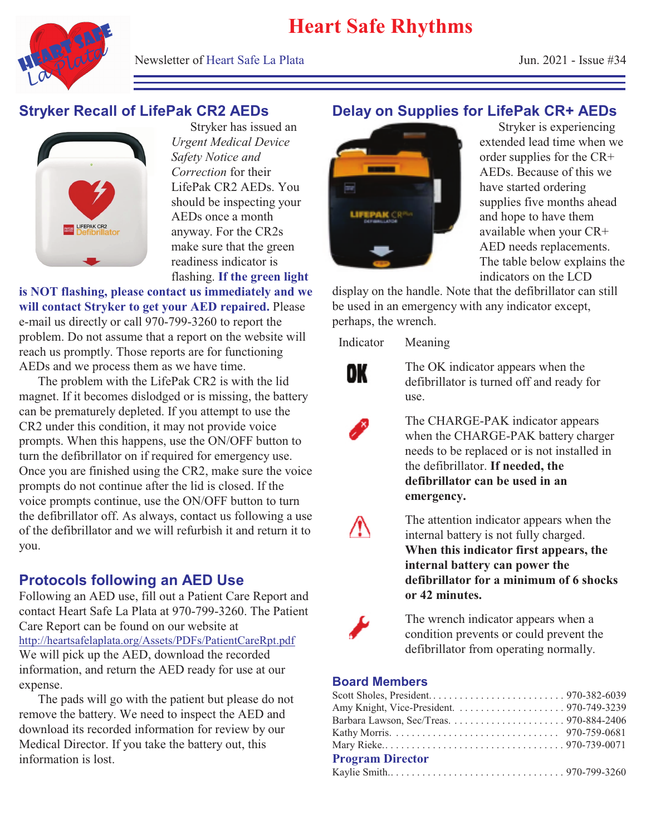

Newsletter of Heart Safe La Plata  $\mu$  101. 2021 - Issue #34

# **Stryker Recall of LifePak CR2 AEDs**



Stryker has issued an *Urgent Medical Device Safety Notice and Correction* for their LifePak CR2 AEDs. You should be inspecting your AEDs once a month anyway. For the CR2s make sure that the green readiness indicator is flashing. **If the green light**

**is NOT flashing, please contact us immediately and we will contact Stryker to get your AED repaired.** Please e-mail us directly or call 970-799-3260 to report the problem. Do not assume that a report on the website will reach us promptly. Those reports are for functioning AEDs and we process them as we have time.

The problem with the LifePak CR2 is with the lid magnet. If it becomes dislodged or is missing, the battery can be prematurely depleted. If you attempt to use the CR2 under this condition, it may not provide voice prompts. When this happens, use the ON/OFF button to turn the defibrillator on if required for emergency use. Once you are finished using the CR2, make sure the voice prompts do not continue after the lid is closed. If the voice prompts continue, use the ON/OFF button to turn the defibrillator off. As always, contact us following a use of the defibrillator and we will refurbish it and return it to you.

### **Protocols following an AED Use**

Following an AED use, fill out a Patient Care Report and contact Heart Safe La Plata at 970-799-3260. The Patient Care Report can be found on our website at http://heartsafelaplata.org/Assets/PDFs/PatientCareRpt.pdf We will pick up the AED, download the recorded information, and return the AED ready for use at our expense.

The pads will go with the patient but please do not remove the battery. We need to inspect the AED and download its recorded information for review by our Medical Director. If you take the battery out, this information is lost.

# **Delay on Supplies for LifePak CR+ AEDs**



Stryker is experiencing extended lead time when we order supplies for the CR+ AEDs. Because of this we have started ordering supplies five months ahead and hope to have them available when your CR+ AED needs replacements. The table below explains the indicators on the LCD

display on the handle. Note that the defibrillator can still be used in an emergency with any indicator except, perhaps, the wrench.

Indicator Meaning



The OK indicator appears when the defibrillator is turned off and ready for use.

The CHARGE-PAK indicator appears when the CHARGE-PAK battery charger needs to be replaced or is not installed in the defibrillator. **If needed, the defibrillator can be used in an emergency.** 



The attention indicator appears when the internal battery is not fully charged. **When this indicator first appears, the internal battery can power the defibrillator for a minimum of 6 shocks or 42 minutes.** 



The wrench indicator appears when a condition prevents or could prevent the defibrillator from operating normally.

#### **Board Members**

| <b>Program Director</b> |  |
|-------------------------|--|
|                         |  |